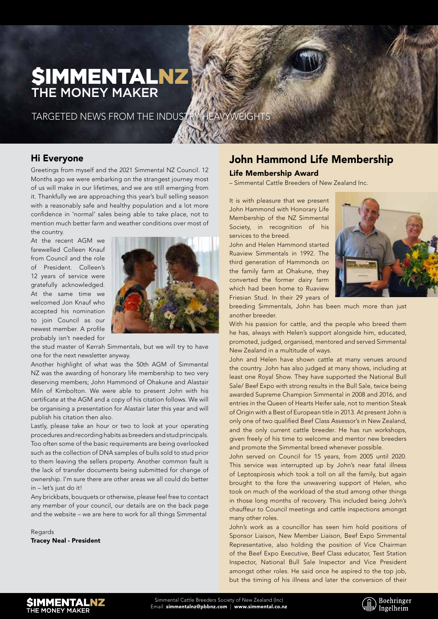# **SIMMENTALNZ** THE MONEY MAKER

TARGETED NEWS FROM THE INDUSTRY HEAVYWEIGHTS

## Hi Everyone

Greetings from myself and the 2021 Simmental NZ Council. 12 Months ago we were embarking on the strangest journey most of us will make in our lifetimes, and we are still emerging from it. Thankfully we are approaching this year's bull selling season with a reasonably safe and healthy population and a lot more confidence in 'normal' sales being able to take place, not to mention much better farm and weather conditions over most of the country.

At the recent AGM we farewelled Colleen Knauf from Council and the role of President. Colleen's 12 years of service were gratefully acknowledged. At the same time we welcomed Jon Knauf who accepted his nomination to join Council as our newest member. A profile probably isn't needed for



the stud master of Kerrah Simmentals, but we will try to have one for the next newsletter anyway.

Another highlight of what was the 50th AGM of Simmental NZ was the awarding of honorary life membership to two very deserving members; John Hammond of Ohakune and Alastair Miln of Kimbolton. We were able to present John with his certificate at the AGM and a copy of his citation follows. We will be organising a presentation for Alastair later this year and will publish his citation then also.

Lastly, please take an hour or two to look at your operating procedures and recording habits as breeders and stud principals. Too often some of the basic requirements are being overlooked such as the collection of DNA samples of bulls sold to stud prior to them leaving the sellers property. Another common fault is the lack of transfer documents being submitted for change of ownership. I'm sure there are other areas we all could do better in – let's just do it!

Any brickbats, bouquets or otherwise, please feel free to contact any member of your council, our details are on the back page and the website – we are here to work for all things Simmental

Regards Tracey Neal - President

## John Hammond Life Membership

#### Life Membership Award

– Simmental Cattle Breeders of New Zealand Inc.

It is with pleasure that we present John Hammond with Honorary Life Membership of the NZ Simmental Society, in recognition of his services to the breed.

John and Helen Hammond started Ruaview Simmentals in 1992. The third generation of Hammonds on the family farm at Ohakune, they converted the former dairy farm which had been home to Ruaview Friesian Stud. In their 29 years of



breeding Simmentals, John has been much more than just another breeder.

With his passion for cattle, and the people who breed them he has, always with Helen's support alongside him, educated, promoted, judged, organised, mentored and served Simmental New Zealand in a multitude of ways.

John and Helen have shown cattle at many venues around the country. John has also judged at many shows, including at least one Royal Show. They have supported the National Bull Sale/ Beef Expo with strong results in the Bull Sale, twice being awarded Supreme Champion Simmental in 2008 and 2016, and entries in the Queen of Hearts Heifer sale, not to mention Steak of Origin with a Best of European title in 2013. At present John is only one of two qualified Beef Class Assessor's in New Zealand, and the only current cattle breeder. He has run workshops, given freely of his time to welcome and mentor new breeders and promote the Simmental breed whenever possible.

John served on Council for 15 years, from 2005 until 2020. This service was interrupted up by John's near fatal illness of Leptospirosis which took a toll on all the family, but again brought to the fore the unwavering support of Helen, who took on much of the workload of the stud among other things in those long months of recovery. This included being John's chauffeur to Council meetings and cattle inspections amongst many other roles.

John's work as a councillor has seen him hold positions of Sponsor Liaison, New Member Liaison, Beef Expo Simmental Representative, also holding the position of Vice Chairman of the Beef Expo Executive, Beef Class educator, Test Station Inspector, National Bull Sale Inspector and Vice President amongst other roles. He said once he aspired to the top job, but the timing of his illness and later the conversion of their



Simmental Cattle Breeders Society of New Zealand (Inc) Email: simmentalnz@pbbnz.com | www.simmental.co.nz

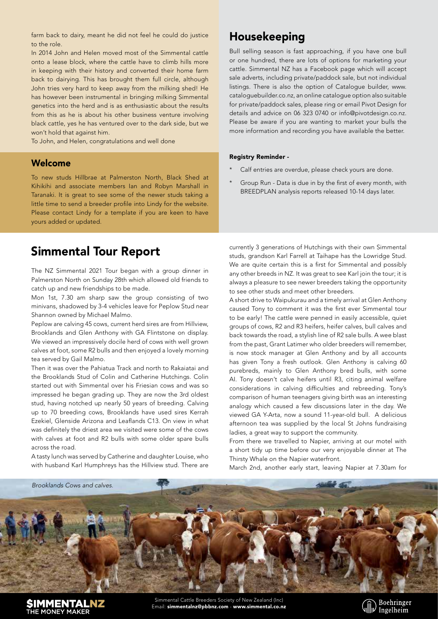farm back to dairy, meant he did not feel he could do justice to the role.

In 2014 John and Helen moved most of the Simmental cattle onto a lease block, where the cattle have to climb hills more in keeping with their history and converted their home farm back to dairying. This has brought them full circle, although John tries very hard to keep away from the milking shed! He has however been instrumental in bringing milking Simmental genetics into the herd and is as enthusiastic about the results from this as he is about his other business venture involving black cattle, yes he has ventured over to the dark side, but we won't hold that against him.

To John, and Helen, congratulations and well done

### Welcome

To new studs Hillbrae at Palmerston North, Black Shed at Kihikihi and associate members Ian and Robyn Marshall in Taranaki. It is great to see some of the newer studs taking a little time to send a breeder profile into Lindy for the website. Please contact Lindy for a template if you are keen to have yours added or updated.

# Simmental Tour Report

The NZ Simmental 2021 Tour began with a group dinner in Palmerston North on Sunday 28th which allowed old friends to catch up and new friendships to be made.

Mon 1st, 7.30 am sharp saw the group consisting of two minivans, shadowed by 3-4 vehicles leave for Peplow Stud near Shannon owned by Michael Malmo.

Peplow are calving 45 cows, current herd sires are from Hillview, Brooklands and Glen Anthony with GA Flintstone on display. We viewed an impressively docile herd of cows with well grown calves at foot, some R2 bulls and then enjoyed a lovely morning tea served by Gail Malmo.

Then it was over the Pahiatua Track and north to Rakaiatai and the Brooklands Stud of Colin and Catherine Hutchings. Colin started out with Simmental over his Friesian cows and was so impressed he began grading up. They are now the 3rd oldest stud, having notched up nearly 50 years of breeding. Calving up to 70 breeding cows, Brooklands have used sires Kerrah Ezekiel, Glenside Arizona and Leaflands C13. On view in what was definitely the driest area we visited were some of the cows with calves at foot and R2 bulls with some older spare bulls across the road.

A tasty lunch was served by Catherine and daughter Louise, who with husband Karl Humphreys has the Hillview stud. There are

# Housekeeping

Bull selling season is fast approaching, if you have one bull or one hundred, there are lots of options for marketing your cattle. Simmental NZ has a Facebook page which will accept sale adverts, including private/paddock sale, but not individual listings. There is also the option of Catalogue builder, www. cataloguebuilder.co.nz, an online catalogue option also suitable for private/paddock sales, please ring or email Pivot Design for details and advice on 06 323 0740 or info@pivotdesign.co.nz. Please be aware if you are wanting to market your bulls the more information and recording you have available the better.

#### Registry Reminder -

- Calf entries are overdue, please check yours are done.
- Group Run Data is due in by the first of every month, with BREEDPLAN analysis reports released 10-14 days later.

currently 3 generations of Hutchings with their own Simmental studs, grandson Karl Farrell at Taihape has the Lowridge Stud. We are quite certain this is a first for Simmental and possibly any other breeds in NZ. It was great to see Karl join the tour; it is always a pleasure to see newer breeders taking the opportunity to see other studs and meet other breeders.

A short drive to Waipukurau and a timely arrival at Glen Anthony caused Tony to comment it was the first ever Simmental tour to be early! The cattle were penned in easily accessible, quiet groups of cows, R2 and R3 heifers, heifer calves, bull calves and back towards the road, a stylish line of R2 sale bulls. A wee blast from the past, Grant Latimer who older breeders will remember, is now stock manager at Glen Anthony and by all accounts has given Tony a fresh outlook. Glen Anthony is calving 60 purebreds, mainly to Glen Anthony bred bulls, with some AI. Tony doesn't calve heifers until R3, citing animal welfare considerations in calving difficulties and rebreeding. Tony's comparison of human teenagers giving birth was an interesting analogy which caused a few discussions later in the day. We viewed GA Y-Arta, now a sound 11-year-old bull. A delicious afternoon tea was supplied by the local St Johns fundraising ladies, a great way to support the community.

From there we travelled to Napier, arriving at our motel with a short tidy up time before our very enjoyable dinner at The Thirsty Whale on the Napier waterfront.

March 2nd, another early start, leaving Napier at 7.30am for



SIMMENTALNZ THE MONEY MAKER

Simmental Cattle Breeders Society of New Zealand (Inc) Email: simmentalnz@pbbnz.com - www.simmental.co.nz

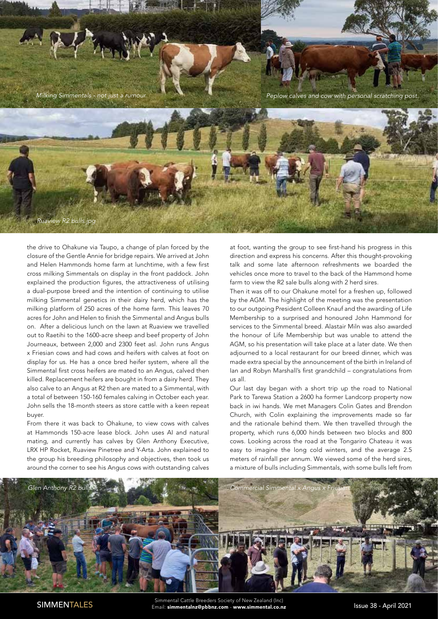

the drive to Ohakune via Taupo, a change of plan forced by the closure of the Gentle Annie for bridge repairs. We arrived at John and Helen Hammonds home farm at lunchtime, with a few first cross milking Simmentals on display in the front paddock. John explained the production figures, the attractiveness of utilising a dual-purpose breed and the intention of continuing to utilise milking Simmental genetics in their dairy herd, which has the milking platform of 250 acres of the home farm. This leaves 70 acres for John and Helen to finish the Simmental and Angus bulls on. After a delicious lunch on the lawn at Ruaview we travelled out to Raetihi to the 1600-acre sheep and beef property of John Journeaux, between 2,000 and 2300 feet asl. John runs Angus x Friesian cows and had cows and heifers with calves at foot on display for us. He has a once bred heifer system, where all the Simmental first cross heifers are mated to an Angus, calved then killed. Replacement heifers are bought in from a dairy herd. They also calve to an Angus at R2 then are mated to a Simmental, with a total of between 150-160 females calving in October each year. John sells the 18-month steers as store cattle with a keen repeat buyer.

From there it was back to Ohakune, to view cows with calves at Hammonds 150-acre lease block. John uses AI and natural mating, and currently has calves by Glen Anthony Executive, LRX HP Rocket, Ruaview Pinetree and Y-Arta. John explained to the group his breeding philosophy and objectives, then took us around the corner to see his Angus cows with outstanding calves

at foot, wanting the group to see first-hand his progress in this direction and express his concerns. After this thought-provoking talk and some late afternoon refreshments we boarded the vehicles once more to travel to the back of the Hammond home farm to view the R2 sale bulls along with 2 herd sires.

Then it was off to our Ohakune motel for a freshen up, followed by the AGM. The highlight of the meeting was the presentation to our outgoing President Colleen Knauf and the awarding of Life Membership to a surprised and honoured John Hammond for services to the Simmental breed. Alastair Miln was also awarded the honour of Life Membership but was unable to attend the AGM, so his presentation will take place at a later date. We then adjourned to a local restaurant for our breed dinner, which was made extra special by the announcement of the birth in Ireland of Ian and Robyn Marshall's first grandchild – congratulations from us all.

Our last day began with a short trip up the road to National Park to Tarewa Station a 2600 ha former Landcorp property now back in iwi hands. We met Managers Colin Gates and Brendon Church, with Colin explaining the improvements made so far and the rationale behind them. We then travelled through the property, which runs 6,000 hinds between two blocks and 800 cows. Looking across the road at the Tongariro Chateau it was easy to imagine the long cold winters, and the average 2.5 meters of rainfall per annum. We viewed some of the herd sires, a mixture of bulls including Simmentals, with some bulls left from



Issue 38 - April 2021 Simmental Cattle Breeders Society of New Zealand (Inc) SIMMENTALES Email: simmentalnz@pbbnz.com - www.simmental.co.nz